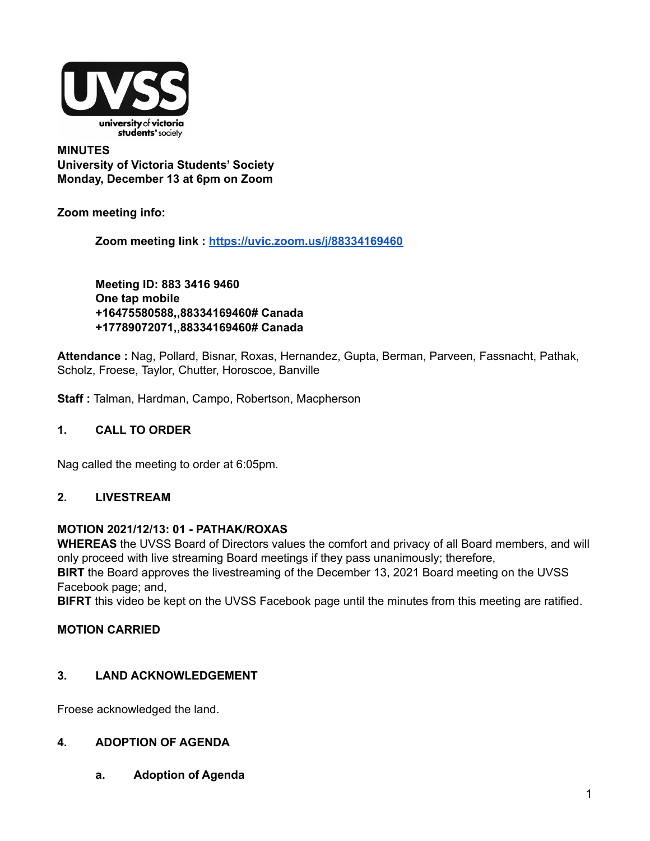

#### **MINUTES University of Victoria Students' Society Monday, December 13 at 6pm on Zoom**

**Zoom meeting info:**

**Zoom meeting link : <https://uvic.zoom.us/j/88334169460>**

**Meeting ID: 883 3416 9460 One tap mobile +16475580588,,88334169460# Canada +17789072071,,88334169460# Canada**

**Attendance :** Nag, Pollard, Bisnar, Roxas, Hernandez, Gupta, Berman, Parveen, Fassnacht, Pathak, Scholz, Froese, Taylor, Chutter, Horoscoe, Banville

**Staff :** Talman, Hardman, Campo, Robertson, Macpherson

#### **1. CALL TO ORDER**

Nag called the meeting to order at 6:05pm.

#### **2. LIVESTREAM**

#### **MOTION 2021/12/13: 01 - PATHAK/ROXAS**

**WHEREAS** the UVSS Board of Directors values the comfort and privacy of all Board members, and will only proceed with live streaming Board meetings if they pass unanimously; therefore,

**BIRT** the Board approves the livestreaming of the December 13, 2021 Board meeting on the UVSS Facebook page; and,

**BIFRT** this video be kept on the UVSS Facebook page until the minutes from this meeting are ratified.

#### **MOTION CARRIED**

#### **3. LAND ACKNOWLEDGEMENT**

Froese acknowledged the land.

## **4. ADOPTION OF AGENDA**

**a. Adoption of Agenda**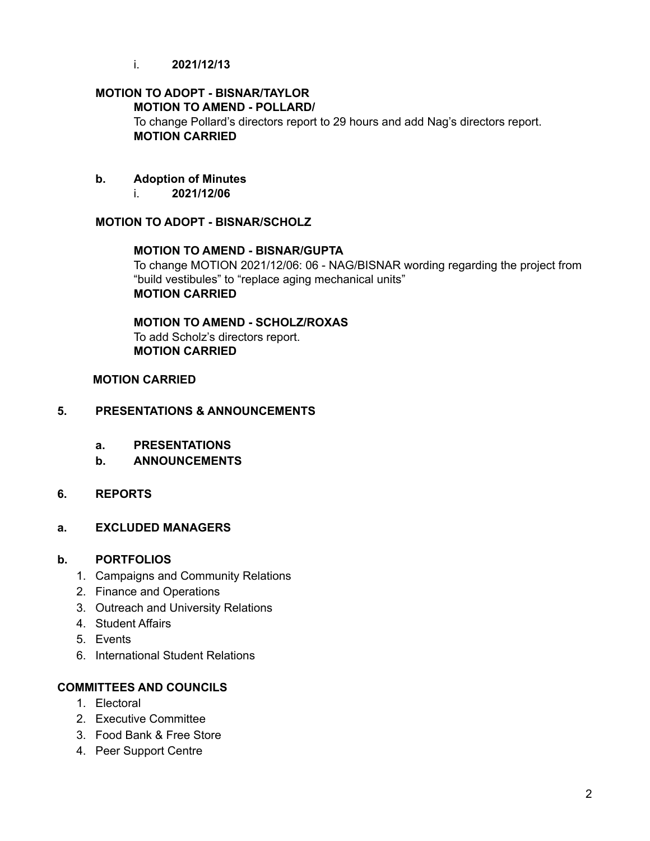i. **2021/12/13**

# **MOTION TO ADOPT - BISNAR/TAYLOR**

**MOTION TO AMEND - POLLARD/**

To change Pollard's directors report to 29 hours and add Nag's directors report. **MOTION CARRIED**

# **b. Adoption of Minutes**

i. **2021/12/06**

# **MOTION TO ADOPT - BISNAR/SCHOLZ**

## **MOTION TO AMEND - BISNAR/GUPTA**

To change MOTION 2021/12/06: 06 - NAG/BISNAR wording regarding the project from "build vestibules" to "replace aging mechanical units" **MOTION CARRIED**

# **MOTION TO AMEND - SCHOLZ/ROXAS**

To add Scholz's directors report. **MOTION CARRIED**

## **MOTION CARRIED**

## **5. PRESENTATIONS & ANNOUNCEMENTS**

- **a. PRESENTATIONS**
- **b. ANNOUNCEMENTS**
- **6. REPORTS**
- **a. EXCLUDED MANAGERS**

## **b. PORTFOLIOS**

- 1. Campaigns and Community Relations
- 2. Finance and Operations
- 3. Outreach and University Relations
- 4. Student Affairs
- 5. Events
- 6. International Student Relations

## **COMMITTEES AND COUNCILS**

- 1. Electoral
- 2. Executive Committee
- 3. Food Bank & Free Store
- 4. Peer Support Centre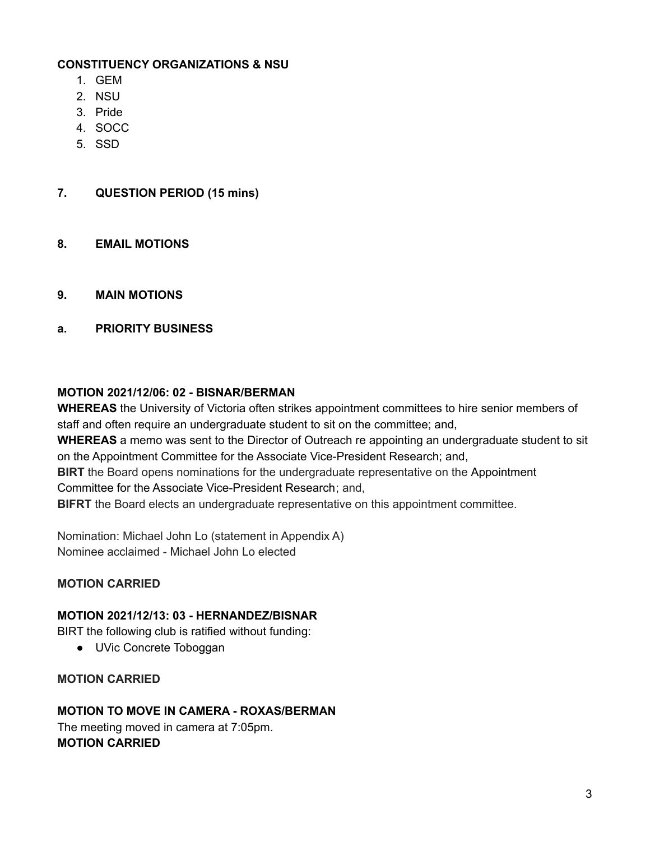### **CONSTITUENCY ORGANIZATIONS & NSU**

- 1. GEM
- 2. NSU
- 3. Pride
- 4. SOCC
- 5. SSD
- **7. QUESTION PERIOD (15 mins)**
- **8. EMAIL MOTIONS**
- **9. MAIN MOTIONS**
- **a. PRIORITY BUSINESS**

## **MOTION 2021/12/06: 02 - BISNAR/BERMAN**

**WHEREAS** the University of Victoria often strikes appointment committees to hire senior members of staff and often require an undergraduate student to sit on the committee; and,

**WHEREAS** a memo was sent to the Director of Outreach re appointing an undergraduate student to sit on the Appointment Committee for the Associate Vice-President Research; and,

**BIRT** the Board opens nominations for the undergraduate representative on the Appointment Committee for the Associate Vice-President Research; and,

**BIFRT** the Board elects an undergraduate representative on this appointment committee.

Nomination: Michael John Lo (statement in Appendix A) Nominee acclaimed - Michael John Lo elected

## **MOTION CARRIED**

#### **MOTION 2021/12/13: 03 - HERNANDEZ/BISNAR**

BIRT the following club is ratified without funding:

● UVic Concrete Toboggan

# **MOTION CARRIED**

## **MOTION TO MOVE IN CAMERA - ROXAS/BERMAN** The meeting moved in camera at 7:05pm. **MOTION CARRIED**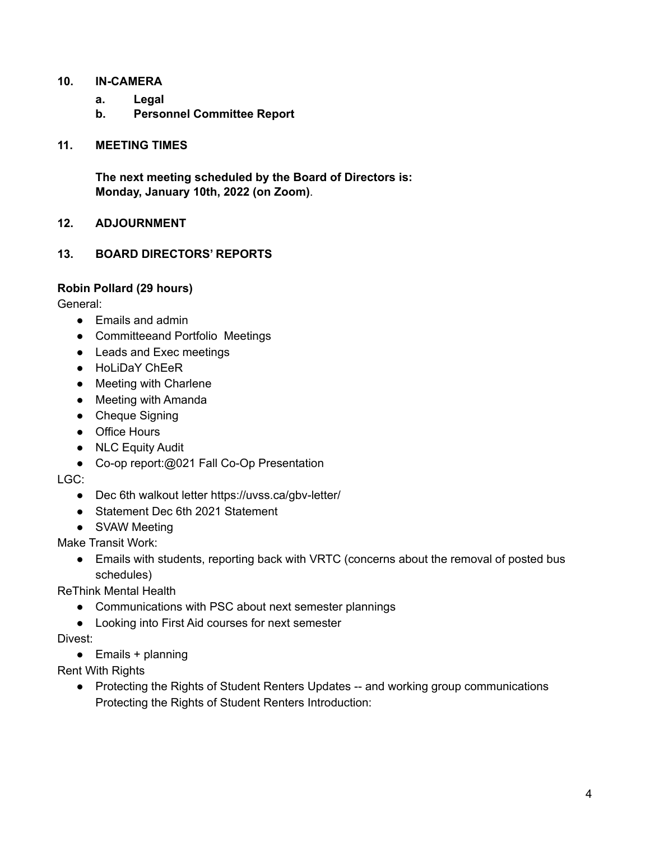#### **10. IN-CAMERA**

- **a. Legal**
- **b. Personnel Committee Report**

#### **11. MEETING TIMES**

**The next meeting scheduled by the Board of Directors is: Monday, January 10th, 2022 (on Zoom)**.

### **12. ADJOURNMENT**

## **13. BOARD DIRECTORS' REPORTS**

### **Robin Pollard (29 hours)**

General:

- Emails and admin
- Committeeand Portfolio Meetings
- Leads and Exec meetings
- HoLiDaY ChEeR
- Meeting with Charlene
- Meeting with Amanda
- Cheque Signing
- Office Hours
- NLC Equity Audit
- Co-op report:@021 Fall Co-Op Presentation

LGC:

- Dec 6th walkout letter https://uvss.ca/gbv-letter/
- Statement Dec 6th 2021 Statement
- SVAW Meeting

Make Transit Work:

● Emails with students, reporting back with VRTC (concerns about the removal of posted bus schedules)

ReThink Mental Health

- Communications with PSC about next semester plannings
- Looking into First Aid courses for next semester

Divest:

● Emails + planning

Rent With Rights

● Protecting the Rights of Student Renters Updates -- and working group communications Protecting the Rights of Student Renters Introduction: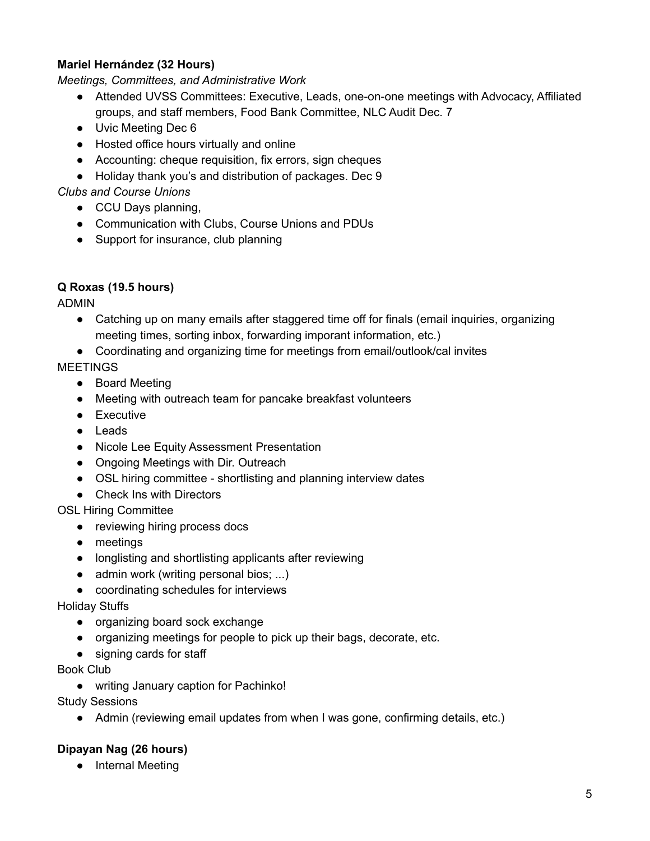# **Mariel Hernández (32 Hours)**

*Meetings, Committees, and Administrative Work*

- Attended UVSS Committees: Executive, Leads, one-on-one meetings with Advocacy, Affiliated groups, and staff members, Food Bank Committee, NLC Audit Dec. 7
- Uvic Meeting Dec 6
- Hosted office hours virtually and online
- Accounting: cheque requisition, fix errors, sign cheques
- Holiday thank you's and distribution of packages. Dec 9

*Clubs and Course Unions*

- CCU Days planning,
- Communication with Clubs, Course Unions and PDUs
- Support for insurance, club planning

## **Q Roxas (19.5 hours)**

ADMIN

- Catching up on many emails after staggered time off for finals (email inquiries, organizing meeting times, sorting inbox, forwarding imporant information, etc.)
- Coordinating and organizing time for meetings from email/outlook/cal invites

### MEETINGS

- Board Meeting
- Meeting with outreach team for pancake breakfast volunteers
- Executive
- Leads
- Nicole Lee Equity Assessment Presentation
- Ongoing Meetings with Dir. Outreach
- OSL hiring committee shortlisting and planning interview dates
- Check Ins with Directors

OSL Hiring Committee

- reviewing hiring process docs
- meetings
- longlisting and shortlisting applicants after reviewing
- admin work (writing personal bios; ...)
- coordinating schedules for interviews

Holiday Stuffs

- organizing board sock exchange
- organizing meetings for people to pick up their bags, decorate, etc.
- signing cards for staff

Book Club

● writing January caption for Pachinko!

Study Sessions

● Admin (reviewing email updates from when I was gone, confirming details, etc.)

## **Dipayan Nag (26 hours)**

● Internal Meeting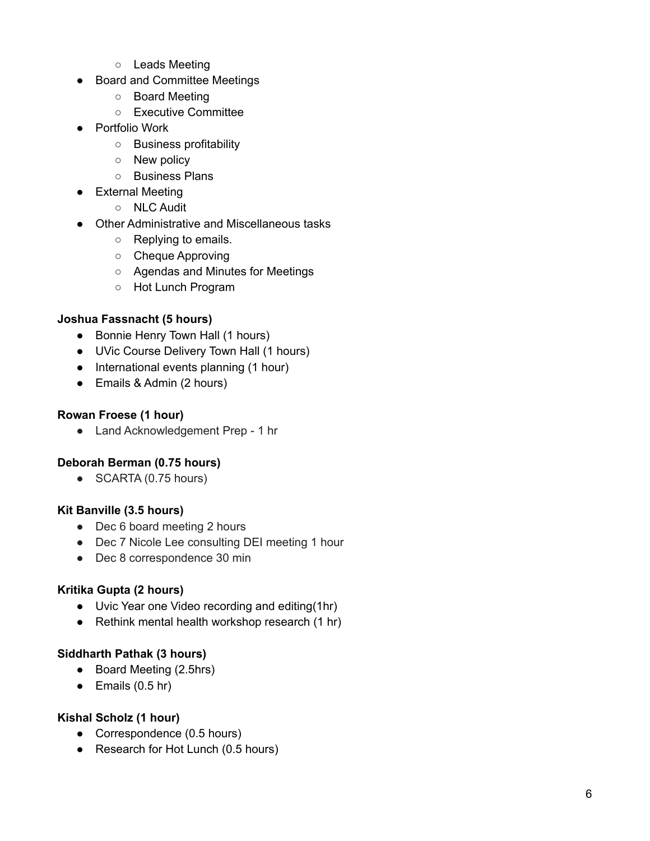- Leads Meeting
- Board and Committee Meetings
	- Board Meeting
	- Executive Committee
- Portfolio Work
	- Business profitability
	- New policy
	- Business Plans
- External Meeting
	- NLC Audit
- Other Administrative and Miscellaneous tasks
	- Replying to emails.
	- Cheque Approving
	- Agendas and Minutes for Meetings
	- Hot Lunch Program

### **Joshua Fassnacht (5 hours)**

- Bonnie Henry Town Hall (1 hours)
- UVic Course Delivery Town Hall (1 hours)
- International events planning (1 hour)
- Emails & Admin (2 hours)

### **Rowan Froese (1 hour)**

● Land Acknowledgement Prep - 1 hr

#### **Deborah Berman (0.75 hours)**

● SCARTA (0.75 hours)

#### **Kit Banville (3.5 hours)**

- Dec 6 board meeting 2 hours
- Dec 7 Nicole Lee consulting DEI meeting 1 hour
- Dec 8 correspondence 30 min

## **Kritika Gupta (2 hours)**

- Uvic Year one Video recording and editing(1hr)
- Rethink mental health workshop research (1 hr)

#### **Siddharth Pathak (3 hours)**

- Board Meeting (2.5hrs)
- $\bullet$  Emails (0.5 hr)

#### **Kishal Scholz (1 hour)**

- Correspondence (0.5 hours)
- Research for Hot Lunch (0.5 hours)